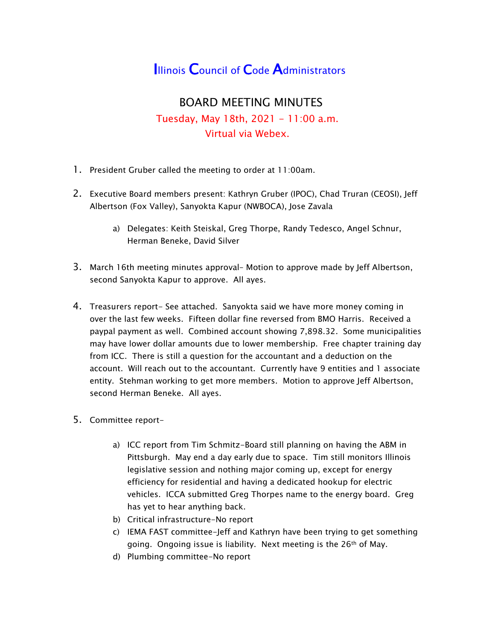## **Illinois Council of Code Administrators**

## BOARD MEETING MINUTES Tuesday, May 18th, 2021 - 11:00 a.m. Virtual via Webex.

- 1. President Gruber called the meeting to order at 11:00am.
- 2. Executive Board members present: Kathryn Gruber (IPOC), Chad Truran (CEOSI), Jeff Albertson (Fox Valley), Sanyokta Kapur (NWBOCA), Jose Zavala
	- a) Delegates: Keith Steiskal, Greg Thorpe, Randy Tedesco, Angel Schnur, Herman Beneke, David Silver
- 3. March 16th meeting minutes approval– Motion to approve made by Jeff Albertson, second Sanyokta Kapur to approve. All ayes.
- 4. Treasurers report- See attached. Sanyokta said we have more money coming in over the last few weeks. Fifteen dollar fine reversed from BMO Harris. Received a paypal payment as well. Combined account showing 7,898.32. Some municipalities may have lower dollar amounts due to lower membership. Free chapter training day from ICC. There is still a question for the accountant and a deduction on the account. Will reach out to the accountant. Currently have 9 entities and 1 associate entity. Stehman working to get more members. Motion to approve Jeff Albertson, second Herman Beneke. All ayes.
- 5. Committee report
	- a) ICC report from Tim Schmitz-Board still planning on having the ABM in Pittsburgh. May end a day early due to space. Tim still monitors Illinois legislative session and nothing major coming up, except for energy efficiency for residential and having a dedicated hookup for electric vehicles. ICCA submitted Greg Thorpes name to the energy board. Greg has yet to hear anything back.
	- b) Critical infrastructure-No report
	- c) IEMA FAST committee-Jeff and Kathryn have been trying to get something going. Ongoing issue is liability. Next meeting is the 26th of May.
	- d) Plumbing committee-No report